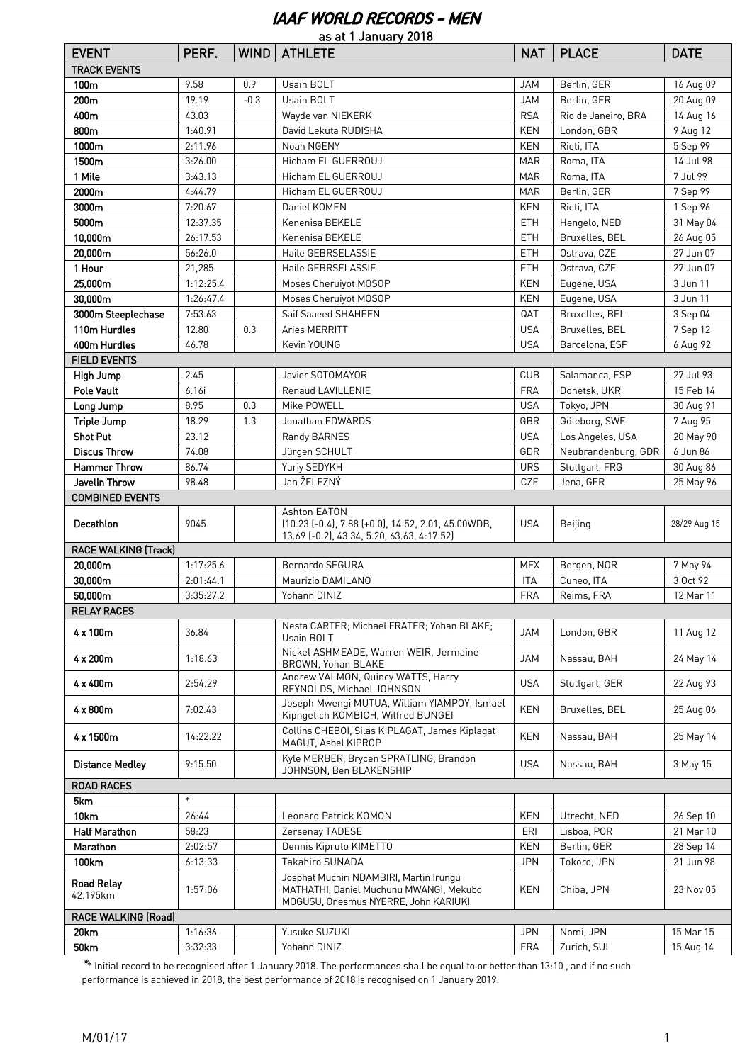## IAAF WORLD RECORDS - MEN

| as at 1 January 2018        |           |             |                                                                                                                            |            |                     |              |  |
|-----------------------------|-----------|-------------|----------------------------------------------------------------------------------------------------------------------------|------------|---------------------|--------------|--|
| <b>EVENT</b>                | PERF.     | <b>WIND</b> | <b>ATHLETE</b>                                                                                                             | <b>NAT</b> | <b>PLACE</b>        | <b>DATE</b>  |  |
| <b>TRACK EVENTS</b>         |           |             |                                                                                                                            |            |                     |              |  |
| 100m                        | 9.58      | 0.9         | Usain BOLT                                                                                                                 | <b>JAM</b> | Berlin, GER         | 16 Aug 09    |  |
| 200m                        | 19.19     | $-0.3$      | Usain BOLT                                                                                                                 | <b>JAM</b> | Berlin, GER         | 20 Aug 09    |  |
| 400m                        | 43.03     |             | Wayde van NIEKERK                                                                                                          | <b>RSA</b> | Rio de Janeiro, BRA | 14 Aug 16    |  |
| 800m                        | 1:40.91   |             | David Lekuta RUDISHA                                                                                                       | <b>KEN</b> | London, GBR         | 9 Aug 12     |  |
| 1000m                       | 2:11.96   |             | Noah NGENY                                                                                                                 | <b>KEN</b> | Rieti, ITA          | 5 Sep 99     |  |
| 1500m                       | 3:26.00   |             | Hicham EL GUERROUJ                                                                                                         | <b>MAR</b> | Roma, ITA           | 14 Jul 98    |  |
| 1 Mile                      | 3:43.13   |             | Hicham EL GUERROUJ                                                                                                         | <b>MAR</b> | Roma. ITA           | 7 Jul 99     |  |
| 2000m                       | 4:44.79   |             | Hicham EL GUERROUJ                                                                                                         | <b>MAR</b> | Berlin, GER         | 7 Sep 99     |  |
| 3000m                       | 7:20.67   |             | Daniel KOMEN                                                                                                               | <b>KEN</b> | Rieti, ITA          | 1 Sep 96     |  |
| 5000m                       | 12:37.35  |             | Kenenisa BEKELE                                                                                                            | <b>ETH</b> | Hengelo, NED        | 31 May 04    |  |
| 10,000m                     | 26:17.53  |             | Kenenisa BEKELE                                                                                                            | <b>ETH</b> | Bruxelles, BEL      | 26 Aug 05    |  |
| 20,000m                     | 56:26.0   |             | Haile GEBRSELASSIE                                                                                                         | <b>ETH</b> | Ostrava, CZE        | 27 Jun 07    |  |
| 1 Hour                      | 21,285    |             | Haile GEBRSELASSIE                                                                                                         | ETH        | Ostrava, CZE        | 27 Jun 07    |  |
| 25,000m                     | 1:12:25.4 |             | Moses Cheruiyot MOSOP                                                                                                      | <b>KEN</b> | Eugene, USA         | 3 Jun 11     |  |
| 30,000m                     | 1:26:47.4 |             | Moses Cheruiyot MOSOP                                                                                                      | <b>KEN</b> | Eugene, USA         | 3 Jun 11     |  |
|                             | 7:53.63   |             | Saif Saaeed SHAHEEN                                                                                                        | QAT        | Bruxelles, BEL      |              |  |
| 3000m Steeplechase          |           |             |                                                                                                                            |            |                     | 3 Sep 04     |  |
| 110m Hurdles                | 12.80     | 0.3         | Aries MERRITT                                                                                                              | <b>USA</b> | Bruxelles, BEL      | 7 Sep 12     |  |
| 400m Hurdles                | 46.78     |             | Kevin YOUNG                                                                                                                | <b>USA</b> | Barcelona, ESP      | 6 Aug 92     |  |
| <b>FIELD EVENTS</b>         |           |             |                                                                                                                            |            |                     |              |  |
| High Jump                   | 2.45      |             | Javier SOTOMAYOR                                                                                                           | <b>CUB</b> | Salamanca, ESP      | 27 Jul 93    |  |
| <b>Pole Vault</b>           | 6.16i     |             | Renaud LAVILLENIE                                                                                                          | <b>FRA</b> | Donetsk, UKR        | 15 Feb 14    |  |
| Long Jump                   | 8.95      | 0.3         | Mike POWELL                                                                                                                | <b>USA</b> | Tokyo, JPN          | 30 Aug 91    |  |
| <b>Triple Jump</b>          | 18.29     | 1.3         | Jonathan EDWARDS                                                                                                           | GBR        | Göteborg, SWE       | 7 Aug 95     |  |
| <b>Shot Put</b>             | 23.12     |             | Randy BARNES                                                                                                               | <b>USA</b> | Los Angeles, USA    | 20 May 90    |  |
| <b>Discus Throw</b>         | 74.08     |             | Jürgen SCHULT                                                                                                              | GDR        | Neubrandenburg, GDR | 6 Jun 86     |  |
| <b>Hammer Throw</b>         | 86.74     |             | Yuriy SEDYKH                                                                                                               | <b>URS</b> | Stuttgart, FRG      | 30 Aug 86    |  |
| Javelin Throw               | 98.48     |             | Jan ŽELEZNÝ                                                                                                                | CZE        | Jena, GER           | 25 May 96    |  |
| <b>COMBINED EVENTS</b>      |           |             |                                                                                                                            |            |                     |              |  |
| <b>Decathlon</b>            | 9045      |             | Ashton EATON<br>$(10.23 (-0.4), 7.88 (+0.0), 14.52, 2.01, 45.00WDB,$<br>13.69 [-0.2], 43.34, 5.20, 63.63, 4:17.52]         | <b>USA</b> | Beijing             | 28/29 Aug 15 |  |
| <b>RACE WALKING (Track)</b> |           |             |                                                                                                                            |            |                     |              |  |
| 20,000m                     | 1:17:25.6 |             | Bernardo SEGURA                                                                                                            | <b>MEX</b> | Bergen, NOR         | 7 May 94     |  |
| 30,000m                     | 2:01:44.1 |             | Maurizio DAMILANO                                                                                                          | <b>ITA</b> | Cuneo, ITA          | 3 Oct 92     |  |
| 50.000m                     | 3:35:27.2 |             | Yohann DINIZ                                                                                                               | FRA        | Reims, FRA          | 12 Mar 11    |  |
| <b>RELAY RACES</b>          |           |             |                                                                                                                            |            |                     |              |  |
| 4 x 100m                    | 36.84     |             | Nesta CARTER; Michael FRATER; Yohan BLAKE;<br>Usain BOLT                                                                   | JAM        | London, GBR         | 11 Aug 12    |  |
| 4 x 200m                    | 1:18.63   |             | Nickel ASHMEADE, Warren WEIR, Jermaine<br>BROWN, Yohan BLAKE                                                               | <b>JAM</b> | Nassau, BAH         | 24 May 14    |  |
| $4 \times 400$ m            | 2:54.29   |             | Andrew VALMON, Quincy WATTS, Harry<br>REYNOLDS, Michael JOHNSON                                                            | <b>USA</b> | Stuttgart, GER      | 22 Aug 93    |  |
| $4 \times 800m$             | 7:02.43   |             | Joseph Mwengi MUTUA, William YIAMPOY, Ismael<br>Kipngetich KOMBICH, Wilfred BUNGEI                                         | <b>KEN</b> | Bruxelles, BEL      | 25 Aug 06    |  |
| 4 x 1500m                   | 14:22.22  |             | Collins CHEBOI, Silas KIPLAGAT, James Kiplagat<br>MAGUT, Asbel KIPROP                                                      | KEN        | Nassau, BAH         | 25 May 14    |  |
| <b>Distance Medley</b>      | 9:15.50   |             | Kyle MERBER, Brycen SPRATLING, Brandon<br>JOHNSON, Ben BLAKENSHIP                                                          | <b>USA</b> | Nassau, BAH         | 3 May 15     |  |
| <b>ROAD RACES</b>           |           |             |                                                                                                                            |            |                     |              |  |
| 5km                         | $\ast$    |             |                                                                                                                            |            |                     |              |  |
| 10km                        | 26:44     |             | Leonard Patrick KOMON                                                                                                      | KEN        | Utrecht, NED        | 26 Sep 10    |  |
| <b>Half Marathon</b>        | 58:23     |             | Zersenay TADESE                                                                                                            | ERI        | Lisboa, POR         | 21 Mar 10    |  |
| Marathon                    | 2:02:57   |             | Dennis Kipruto KIMETTO                                                                                                     | KEN        | Berlin, GER         | 28 Sep 14    |  |
| 100km                       | 6:13:33   |             | Takahiro SUNADA                                                                                                            | <b>JPN</b> | Tokoro, JPN         | 21 Jun 98    |  |
| Road Relay<br>42.195km      | 1:57:06   |             | Josphat Muchiri NDAMBIRI, Martin Irungu<br>MATHATHI, Daniel Muchunu MWANGI, Mekubo<br>MOGUSU, Onesmus NYERRE, John KARIUKI | KEN        | Chiba, JPN          | 23 Nov 05    |  |
| <b>RACE WALKING (Road)</b>  |           |             |                                                                                                                            |            |                     |              |  |
| 20km                        | 1:16:36   |             | Yusuke SUZUKI                                                                                                              | <b>JPN</b> | Nomi, JPN           | 15 Mar 15    |  |
| 50km                        | 3:32:33   |             | Yohann DINIZ                                                                                                               | <b>FRA</b> | Zurich, SUI         | 15 Aug 14    |  |

\*\* Initial record to be recognised after 1 January 2018. The performances shall be equal to or better than 13:10 , and if no such performance is achieved in 2018, the best performance of 2018 is recognised on 1 January 2019.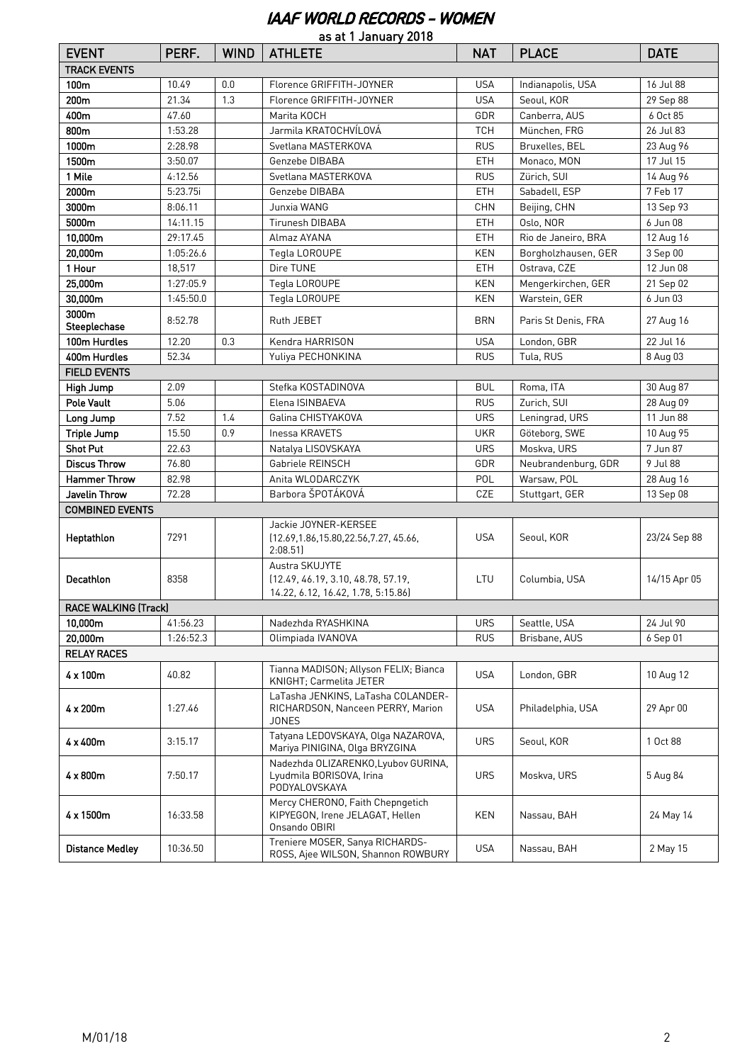#### IAAF WORLD RECORDS - WOMEN

| as at 1 January 2018        |           |             |                                                                                            |            |                     |              |  |
|-----------------------------|-----------|-------------|--------------------------------------------------------------------------------------------|------------|---------------------|--------------|--|
| <b>EVENT</b>                | PERF.     | <b>WIND</b> | <b>ATHLETE</b>                                                                             | <b>NAT</b> | <b>PLACE</b>        | <b>DATE</b>  |  |
| <b>TRACK EVENTS</b>         |           |             |                                                                                            |            |                     |              |  |
| 100m                        | 10.49     | 0.0         | Florence GRIFFITH-JOYNER                                                                   | <b>USA</b> | Indianapolis, USA   | 16 Jul 88    |  |
| 200m                        | 21.34     | 1.3         | Florence GRIFFITH-JOYNER                                                                   | <b>USA</b> | Seoul, KOR          | 29 Sep 88    |  |
| 400m                        | 47.60     |             | Marita KOCH                                                                                | GDR        | Canberra, AUS       | 6 Oct 85     |  |
| 800m                        | 1:53.28   |             | Jarmila KRATOCHVÍLOVÁ                                                                      | <b>TCH</b> | München, FRG        | 26 Jul 83    |  |
| 1000m                       | 2:28.98   |             | Svetlana MASTERKOVA                                                                        | <b>RUS</b> | Bruxelles, BEL      | 23 Aug 96    |  |
| 1500m                       | 3:50.07   |             | Genzebe DIBABA                                                                             | ETH        | Monaco, MON         | 17 Jul 15    |  |
| 1 Mile                      | 4:12.56   |             | Svetlana MASTERKOVA                                                                        | <b>RUS</b> | Zürich, SUI         | 14 Aug 96    |  |
| 2000m                       | 5:23.75i  |             | Genzebe DIBABA                                                                             | ETH        | Sabadell, ESP       | 7 Feb 17     |  |
| 3000m                       | 8:06.11   |             | Junxia WANG                                                                                | <b>CHN</b> | Beijing, CHN        | 13 Sep 93    |  |
| 5000m                       | 14:11.15  |             | Tirunesh DIBABA                                                                            | <b>ETH</b> | Oslo, NOR           | 6 Jun 08     |  |
| 10,000m                     | 29:17.45  |             | Almaz AYANA                                                                                | <b>ETH</b> | Rio de Janeiro, BRA | 12 Aug 16    |  |
| 20,000m                     | 1:05:26.6 |             | Tegla LOROUPE                                                                              | <b>KEN</b> | Borgholzhausen, GER | 3 Sep 00     |  |
| 1 Hour                      | 18,517    |             | Dire TUNE                                                                                  | ETH        | Ostrava, CZE        | 12 Jun 08    |  |
| 25,000m                     | 1:27:05.9 |             | Tegla LOROUPE                                                                              | <b>KEN</b> | Mengerkirchen, GER  | 21 Sep 02    |  |
| 30,000m                     | 1:45:50.0 |             | Tegla LOROUPE                                                                              | KEN        | Warstein, GER       | 6 Jun 03     |  |
| 3000m<br>Steeplechase       | 8:52.78   |             | Ruth JEBET                                                                                 | <b>BRN</b> | Paris St Denis, FRA | 27 Aug 16    |  |
| 100m Hurdles                | 12.20     | 0.3         | Kendra HARRISON                                                                            | <b>USA</b> | London, GBR         | 22 Jul 16    |  |
| 400m Hurdles                | 52.34     |             | Yuliya PECHONKINA                                                                          | <b>RUS</b> | Tula, RUS           | 8 Aug 03     |  |
| <b>FIELD EVENTS</b>         |           |             |                                                                                            |            |                     |              |  |
| High Jump                   | 2.09      |             | Stefka KOSTADINOVA                                                                         | <b>BUL</b> | Roma, ITA           | 30 Aug 87    |  |
| Pole Vault                  | 5.06      |             | Elena ISINBAEVA                                                                            | <b>RUS</b> | Zurich, SUI         | 28 Aug 09    |  |
| Long Jump                   | 7.52      | 1.4         | Galina CHISTYAKOVA                                                                         | <b>URS</b> | Leningrad, URS      | 11 Jun 88    |  |
| <b>Triple Jump</b>          | 15.50     | 0.9         | Inessa KRAVETS                                                                             | <b>UKR</b> | Göteborg, SWE       | 10 Aug 95    |  |
| <b>Shot Put</b>             | 22.63     |             | Natalya LISOVSKAYA                                                                         | <b>URS</b> | Moskva, URS         | 7 Jun 87     |  |
| <b>Discus Throw</b>         | 76.80     |             | Gabriele REINSCH                                                                           | GDR        | Neubrandenburg, GDR | 9 Jul 88     |  |
| <b>Hammer Throw</b>         | 82.98     |             | Anita WLODARCZYK                                                                           | POL        | Warsaw, POL         | 28 Aug 16    |  |
| Javelin Throw               | 72.28     |             | Barbora ŠPOTÁKOVÁ                                                                          | CZE        | Stuttgart, GER      | 13 Sep 08    |  |
| <b>COMBINED EVENTS</b>      |           |             |                                                                                            |            |                     |              |  |
| Heptathlon                  | 7291      |             | Jackie JOYNER-KERSEE<br>(12.69, 1.86, 15.80, 22.56, 7.27, 45.66,<br>2:08.51                | <b>USA</b> | Seoul, KOR          | 23/24 Sep 88 |  |
| Decathlon                   | 8358      |             | Austra SKUJYTE<br>(12.49, 46.19, 3.10, 48.78, 57.19,<br>14.22, 6.12, 16.42, 1.78, 5:15.86) | LTU        | Columbia, USA       | 14/15 Apr 05 |  |
| <b>RACE WALKING (Track)</b> |           |             |                                                                                            |            |                     |              |  |
| 10,000m                     | 41:56.23  |             | Nadezhda RYASHKINA                                                                         | <b>URS</b> | Seattle, USA        | 24 Jul 90    |  |
| 20,000m                     | 1:26:52.3 |             | Olimpiada IVANOVA                                                                          | <b>RUS</b> | Brisbane, AUS       | 6 Sep 01     |  |
| <b>RELAY RACES</b>          |           |             |                                                                                            |            |                     |              |  |
| $4 \times 100m$             | 40.82     |             | Tianna MADISON; Allyson FELIX; Bianca<br>KNIGHT; Carmelita JETER                           | <b>USA</b> | London, GBR         | 10 Aug 12    |  |
| 4 x 200m                    | 1:27.46   |             | LaTasha JENKINS, LaTasha COLANDER-<br>RICHARDSON, Nanceen PERRY, Marion<br>JONES           | <b>USA</b> | Philadelphia, USA   | 29 Apr 00    |  |
| 4 x 400m                    | 3:15.17   |             | Tatyana LEDOVSKAYA, Olga NAZAROVA,<br>Mariya PINIGINA, Olga BRYZGINA                       | <b>URS</b> | Seoul, KOR          | 1 Oct 88     |  |
| 4 x 800m                    | 7:50.17   |             | Nadezhda OLIZARENKO, Lyubov GURINA,<br>Lyudmila BORISOVA, Irina<br>PODYALOVSKAYA           | <b>URS</b> | Moskva, URS         | 5 Aug 84     |  |
| 4 x 1500m                   | 16:33.58  |             | Mercy CHERONO, Faith Chepngetich<br>KIPYEGON, Irene JELAGAT, Hellen<br>Onsando OBIRI       | KEN        | Nassau, BAH         | 24 May 14    |  |
| <b>Distance Medley</b>      | 10:36.50  |             | Treniere MOSER, Sanya RICHARDS-<br>ROSS, Ajee WILSON, Shannon ROWBURY                      | <b>USA</b> | Nassau, BAH         | 2 May 15     |  |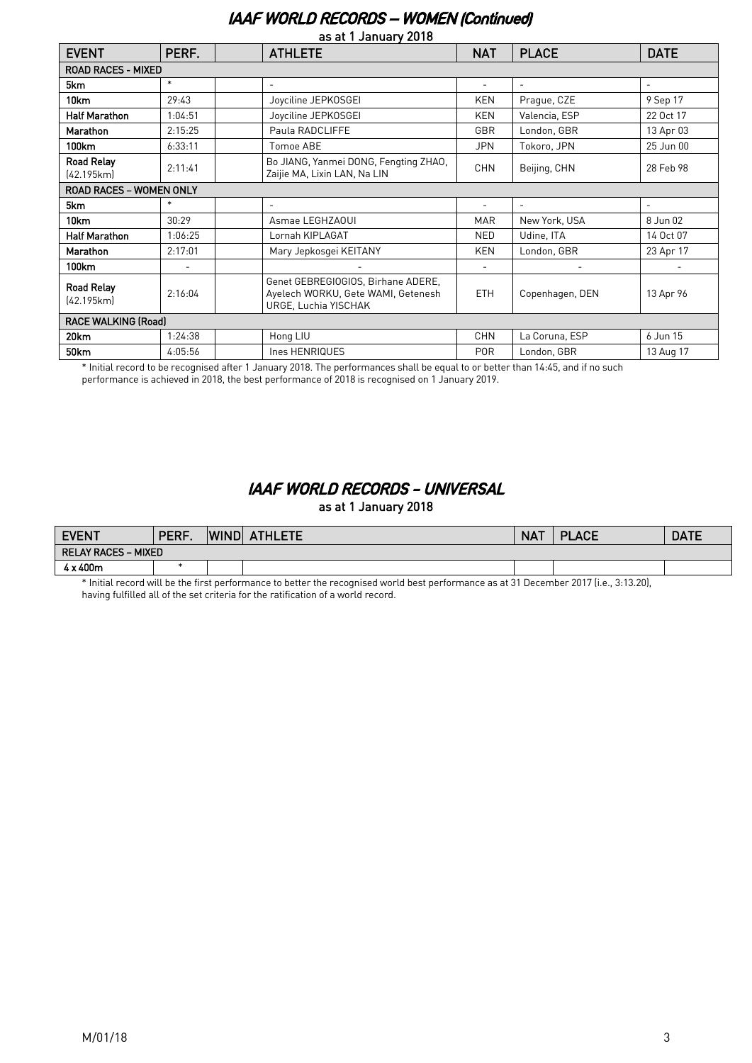### IAAF WORLD RECORDS – WOMEN (Continued)

| as at 1 January 2018            |                          |                                                                                                  |            |                          |                          |  |  |  |
|---------------------------------|--------------------------|--------------------------------------------------------------------------------------------------|------------|--------------------------|--------------------------|--|--|--|
| <b>EVENT</b>                    | PERF.                    | <b>ATHLETE</b>                                                                                   | <b>NAT</b> | <b>PLACE</b>             | <b>DATE</b>              |  |  |  |
| <b>ROAD RACES - MIXED</b>       |                          |                                                                                                  |            |                          |                          |  |  |  |
| 5km                             | $\ast$                   | $\overline{\phantom{0}}$                                                                         |            | $\overline{\phantom{a}}$ | $\overline{\phantom{a}}$ |  |  |  |
| 10km                            | 29:43                    | Joyciline JEPKOSGEI                                                                              | KEN        | Prague, CZE              | 9 Sep 17                 |  |  |  |
| <b>Half Marathon</b>            | 1:04:51                  | Joyciline JEPKOSGEI                                                                              | <b>KEN</b> | Valencia, ESP            | 22 Oct 17                |  |  |  |
| <b>Marathon</b>                 | 2:15:25                  | Paula RADCLIFFE                                                                                  | GBR        | London, GBR              | 13 Apr 03                |  |  |  |
| 100km                           | 6:33:11                  | Tomoe ABE                                                                                        | <b>JPN</b> | Tokoro, JPN              | 25 Jun 00                |  |  |  |
| <b>Road Relay</b><br>[42.195km] | 2:11:41                  | Bo JIANG, Yanmei DONG, Fengting ZHAO,<br>Zaijie MA, Lixin LAN, Na LIN                            | <b>CHN</b> | Beijing, CHN             | 28 Feb 98                |  |  |  |
| <b>ROAD RACES - WOMEN ONLY</b>  |                          |                                                                                                  |            |                          |                          |  |  |  |
| 5km                             | $\ast$                   | $\overline{\phantom{0}}$                                                                         | ۰          | $\overline{\phantom{a}}$ | $\overline{\phantom{a}}$ |  |  |  |
| 10km                            | 30:29                    | Asmae LEGHZAOUI                                                                                  | <b>MAR</b> | New York, USA            | 8 Jun 02                 |  |  |  |
| <b>Half Marathon</b>            | 1:06:25                  | Lornah KIPLAGAT                                                                                  | <b>NED</b> | Udine, ITA               | 14 Oct 07                |  |  |  |
| Marathon                        | 2:17:01                  | Mary Jepkosgei KEITANY                                                                           | <b>KEN</b> | London, GBR              | 23 Apr 17                |  |  |  |
| 100km                           | $\overline{\phantom{a}}$ |                                                                                                  | ۰          | $\overline{\phantom{a}}$ |                          |  |  |  |
| <b>Road Relay</b><br>(42.195km) | 2:16:04                  | Genet GEBREGIOGIOS, Birhane ADERE,<br>Ayelech WORKU, Gete WAMI, Getenesh<br>URGE, Luchia YISCHAK | <b>ETH</b> | Copenhagen, DEN          | 13 Apr 96                |  |  |  |
| <b>RACE WALKING (Road)</b>      |                          |                                                                                                  |            |                          |                          |  |  |  |
| 20km                            | 1:24:38                  | Hong LIU                                                                                         | <b>CHN</b> | La Coruna, ESP           | 6 Jun 15                 |  |  |  |
|                                 |                          |                                                                                                  |            |                          |                          |  |  |  |

\* Initial record to be recognised after 1 January 2018. The performances shall be equal to or better than 14:45, and if no such performance is achieved in 2018, the best performance of 2018 is recognised on 1 January 2019.

## IAAF WORLD RECORDS - UNIVERSAL

as at 1 January 2018

| <b>EVENT</b>                           | DEDE<br>ENI | <b>WIND</b> | <b>ATHLETE</b> | <b>NAT</b> | <b>PLACE</b> | <b>DATE</b> |  |
|----------------------------------------|-------------|-------------|----------------|------------|--------------|-------------|--|
| <b>MIXED</b><br><b>RELAY RACES – 1</b> |             |             |                |            |              |             |  |
| $4 \times 400m$                        |             |             |                |            |              |             |  |

\* Initial record will be the first performance to better the recognised world best performance as at 31 December 2017 (i.e., 3:13.20), having fulfilled all of the set criteria for the ratification of a world record.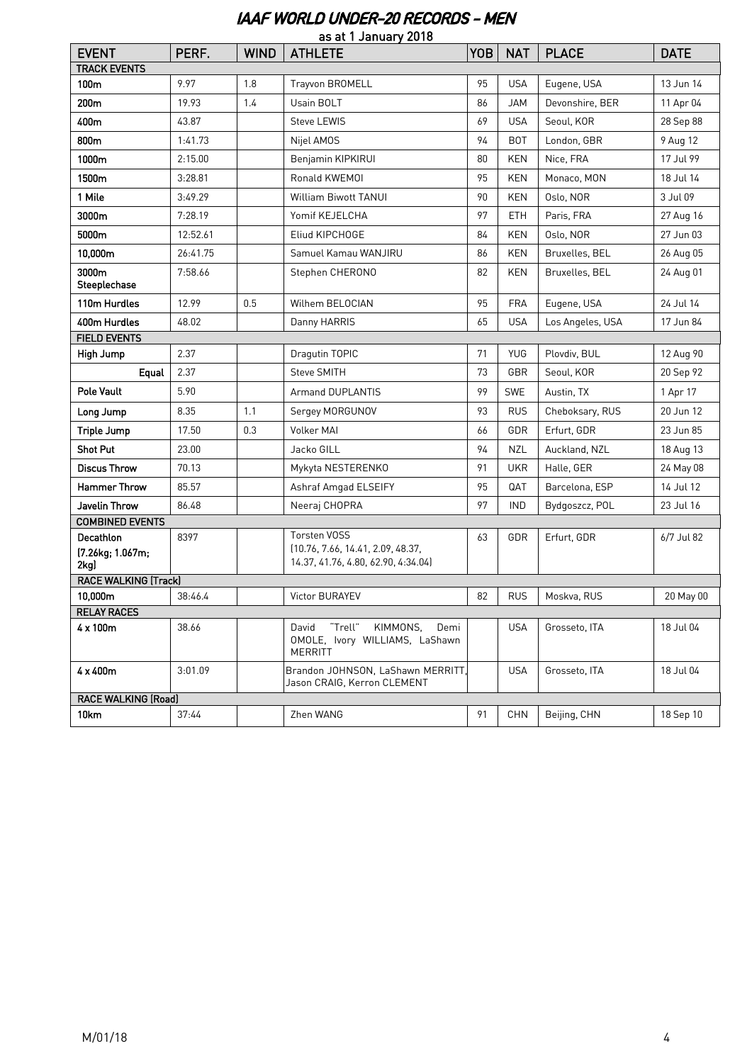## IAAF WORLD UNDER-20 RECORDS - MEN

|                                              |          |             | as at 1 January 2018                                                                            |            |            |                  |             |
|----------------------------------------------|----------|-------------|-------------------------------------------------------------------------------------------------|------------|------------|------------------|-------------|
| <b>EVENT</b>                                 | PERF.    | <b>WIND</b> | <b>ATHLETE</b>                                                                                  | <b>YOB</b> | <b>NAT</b> | <b>PLACE</b>     | <b>DATE</b> |
| <b>TRACK EVENTS</b><br>100m                  | 9.97     | 1.8         | Trayvon BROMELL                                                                                 | 95         | <b>USA</b> | Eugene, USA      | 13 Jun 14   |
| 200m                                         | 19.93    | 1.4         | Usain BOLT                                                                                      | 86         | <b>JAM</b> | Devonshire, BER  | 11 Apr 04   |
| 400m                                         | 43.87    |             | Steve LEWIS                                                                                     | 69         | <b>USA</b> | Seoul, KOR       | 28 Sep 88   |
|                                              |          |             |                                                                                                 |            |            |                  |             |
| 800m                                         | 1:41.73  |             | Nijel AMOS                                                                                      | 94         | <b>BOT</b> | London, GBR      | 9 Aug 12    |
| 1000m                                        | 2:15.00  |             | Benjamin KIPKIRUI                                                                               | 80         | KEN        | Nice, FRA        | 17 Jul 99   |
| 1500m                                        | 3:28.81  |             | Ronald KWEMOI                                                                                   | 95         | KEN        | Monaco, MON      | 18 Jul 14   |
| 1 Mile                                       | 3:49.29  |             | <b>William Biwott TANUI</b>                                                                     | 90         | <b>KEN</b> | Oslo, NOR        | 3 Jul 09    |
| 3000m                                        | 7:28.19  |             | Yomif KEJELCHA                                                                                  | 97         | <b>ETH</b> | Paris, FRA       | 27 Aug 16   |
| 5000m                                        | 12:52.61 |             | Eliud KIPCHOGE                                                                                  | 84         | <b>KEN</b> | Oslo, NOR        | 27 Jun 03   |
| 10,000m                                      | 26:41.75 |             | Samuel Kamau WANJIRU                                                                            | 86         | KEN        | Bruxelles, BEL   | 26 Aug 05   |
| 3000m<br>Steeplechase                        | 7:58.66  |             | Stephen CHERONO                                                                                 | 82         | <b>KEN</b> | Bruxelles, BEL   | 24 Aug 01   |
| 110m Hurdles                                 | 12.99    | 0.5         | Wilhem BELOCIAN                                                                                 | 95         | <b>FRA</b> | Eugene, USA      | 24 Jul 14   |
| 400m Hurdles                                 | 48.02    |             | Danny HARRIS                                                                                    | 65         | <b>USA</b> | Los Angeles, USA | 17 Jun 84   |
| <b>FIELD EVENTS</b>                          |          |             |                                                                                                 |            |            |                  |             |
| High Jump                                    | 2.37     |             | Dragutin TOPIC                                                                                  | 71         | YUG        | Plovdiv, BUL     | 12 Aug 90   |
| Equal                                        | 2.37     |             | Steve SMITH                                                                                     | 73         | GBR        | Seoul, KOR       | 20 Sep 92   |
| Pole Vault                                   | 5.90     |             | <b>Armand DUPLANTIS</b>                                                                         | 99         | <b>SWE</b> | Austin, TX       | 1 Apr 17    |
| Long Jump                                    | 8.35     | 1.1         | Sergey MORGUNOV                                                                                 | 93         | <b>RUS</b> | Cheboksary, RUS  | 20 Jun 12   |
| <b>Triple Jump</b>                           | 17.50    | 0.3         | <b>Volker MAI</b>                                                                               | 66         | GDR        | Erfurt, GDR      | 23 Jun 85   |
| <b>Shot Put</b>                              | 23.00    |             | Jacko GILL                                                                                      | 94         | <b>NZL</b> | Auckland, NZL    | 18 Aug 13   |
| <b>Discus Throw</b>                          | 70.13    |             | Mykyta NESTERENKO                                                                               | 91         | <b>UKR</b> | Halle, GER       | 24 May 08   |
| <b>Hammer Throw</b>                          | 85.57    |             | Ashraf Amgad ELSEIFY                                                                            | 95         | QAT        | Barcelona, ESP   | 14 Jul 12   |
| Javelin Throw                                | 86.48    |             | Neeraj CHOPRA                                                                                   | 97         | <b>IND</b> | Bydgoszcz, POL   | 23 Jul 16   |
| <b>COMBINED EVENTS</b>                       |          |             |                                                                                                 |            |            |                  |             |
| <b>Decathlon</b><br>[7.26kg; 1.067m;<br>2kg) | 8397     |             | <b>Torsten VOSS</b><br>(10.76, 7.66, 14.41, 2.09, 48.37,<br>14.37, 41.76, 4.80, 62.90, 4:34.04) | 63         | GDR        | Erfurt, GDR      | 6/7 Jul 82  |
| <b>RACE WALKING (Track)</b>                  |          |             |                                                                                                 |            |            |                  |             |
| 10,000m                                      | 38:46.4  |             | Victor BURAYEV                                                                                  | 82         | <b>RUS</b> | Moskva, RUS      | 20 May 00   |
| <b>RELAY RACES</b>                           |          |             |                                                                                                 |            |            |                  |             |
| 4 x 100m                                     | 38.66    |             | "Trell"<br>KIMMONS,<br>Demi<br>David<br>OMOLE, Ivory WILLIAMS, LaShawn<br><b>MERRITT</b>        |            | <b>USA</b> | Grosseto, ITA    | 18 Jul 04   |
| 4 x 400m                                     | 3:01.09  |             | Brandon JOHNSON, LaShawn MERRITT,<br>Jason CRAIG, Kerron CLEMENT                                |            | <b>USA</b> | Grosseto, ITA    | 18 Jul 04   |
| <b>RACE WALKING (Road)</b>                   |          |             |                                                                                                 |            |            |                  |             |
| 10km                                         | 37:44    |             | Zhen WANG                                                                                       | 91         | CHN        | Beijing, CHN     | 18 Sep 10   |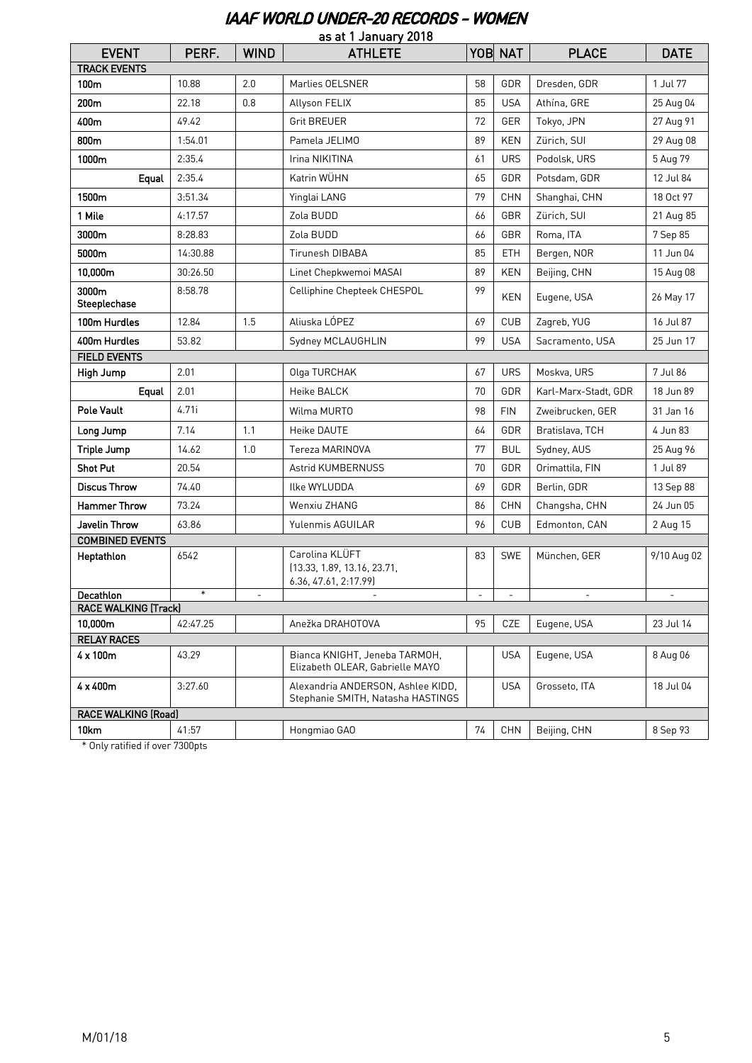#### IAAF WORLD UNDER-20 RECORDS - WOMEN

| as at 1 January 2018                   |          |             |                                                                        |          |                          |                      |             |
|----------------------------------------|----------|-------------|------------------------------------------------------------------------|----------|--------------------------|----------------------|-------------|
| <b>EVENT</b>                           | PERF.    | <b>WIND</b> | <b>ATHLETE</b>                                                         |          | YOB NAT                  | <b>PLACE</b>         | <b>DATE</b> |
| <b>TRACK EVENTS</b>                    |          |             |                                                                        |          |                          |                      |             |
| 100m                                   | 10.88    | 2.0         | Marlies OELSNER                                                        | 58       | GDR                      | Dresden, GDR         | 1 Jul 77    |
| 200m                                   | 22.18    | 0.8         | Allyson FELIX                                                          | 85       | <b>USA</b>               | Athína, GRE          | 25 Aug 04   |
| 400m                                   | 49.42    |             | <b>Grit BREUER</b>                                                     | 72       | GER                      | Tokyo, JPN           | 27 Aug 91   |
| 800m                                   | 1:54.01  |             | Pamela JELIMO                                                          | 89       | <b>KEN</b>               | Zürich, SUI          | 29 Aug 08   |
| 1000m                                  | 2:35.4   |             | Irina NIKITINA                                                         | 61       | <b>URS</b>               | Podolsk, URS         | 5 Aug 79    |
| Equal                                  | 2:35.4   |             | Katrin WÜHN                                                            | 65       | GDR                      | Potsdam, GDR         | 12 Jul 84   |
| 1500m                                  | 3:51.34  |             | Yinglai LANG                                                           | 79       | <b>CHN</b>               | Shanghai, CHN        | 18 Oct 97   |
| 1 Mile                                 | 4:17.57  |             | Zola BUDD                                                              | 66       | GBR                      | Zürich, SUI          | 21 Aug 85   |
| 3000m                                  | 8:28.83  |             | Zola BUDD                                                              | 66       | GBR                      | Roma, ITA            | 7 Sep 85    |
| 5000m                                  | 14:30.88 |             | Tirunesh DIBABA                                                        | 85       | <b>ETH</b>               | Bergen, NOR          | 11 Jun 04   |
| 10,000m                                | 30:26.50 |             | Linet Chepkwemoi MASAI                                                 | 89       | <b>KEN</b>               | Beijing, CHN         | 15 Aug 08   |
| 3000m<br>Steeplechase                  | 8:58.78  |             | Celliphine Chepteek CHESPOL                                            | 99       | KEN                      | Eugene, USA          | 26 May 17   |
| 100m Hurdles                           | 12.84    | 1.5         | Aliuska LÓPEZ                                                          | 69       | <b>CUB</b>               | Zagreb, YUG          | 16 Jul 87   |
| 400m Hurdles                           | 53.82    |             | Sydney MCLAUGHLIN                                                      | 99       | <b>USA</b>               | Sacramento, USA      | 25 Jun 17   |
| <b>FIELD EVENTS</b>                    |          |             |                                                                        |          |                          |                      |             |
| High Jump                              | 2.01     |             | Olga TURCHAK                                                           | 67       | <b>URS</b>               | Moskva, URS          | 7 Jul 86    |
| Equal                                  | 2.01     |             | Heike BALCK                                                            | 70       | GDR                      | Karl-Marx-Stadt, GDR | 18 Jun 89   |
| <b>Pole Vault</b>                      | 4.71i    |             | Wilma MURTO                                                            | 98       | <b>FIN</b>               | Zweibrucken, GER     | 31 Jan 16   |
| Long Jump                              | 7.14     | 1.1         | Heike DAUTE                                                            | 64       | GDR                      | Bratislava, TCH      | 4 Jun 83    |
| <b>Triple Jump</b>                     | 14.62    | 1.0         | Tereza MARINOVA                                                        | 77       | <b>BUL</b>               | Sydney, AUS          | 25 Aug 96   |
| <b>Shot Put</b>                        | 20.54    |             | Astrid KUMBERNUSS                                                      | 70       | GDR                      | Orimattila, FIN      | 1 Jul 89    |
| <b>Discus Throw</b>                    | 74.40    |             | Ilke WYLUDDA                                                           | 69       | GDR                      | Berlin, GDR          | 13 Sep 88   |
| <b>Hammer Throw</b>                    | 73.24    |             | Wenxiu ZHANG                                                           | 86       | <b>CHN</b>               | Changsha, CHN        | 24 Jun 05   |
| Javelin Throw                          | 63.86    |             | Yulenmis AGUILAR                                                       | 96       | <b>CUB</b>               | Edmonton, CAN        | 2 Aug 15    |
| <b>COMBINED EVENTS</b>                 |          |             |                                                                        |          |                          |                      |             |
| Heptathlon                             | 6542     |             | Carolina KLÜFT<br>(13.33, 1.89, 13.16, 23.71,<br>6.36, 47.61, 2:17.99) | 83       | <b>SWE</b>               | München, GER         | 9/10 Aug 02 |
| Decathlon                              | $\ast$   |             |                                                                        | $\equiv$ | $\overline{\phantom{a}}$ |                      |             |
| <b>RACE WALKING (Track)</b><br>10,000m | 42:47.25 |             | Anežka DRAHOTOVA                                                       | 95       | CZE                      | Eugene, USA          | 23 Jul 14   |
| <b>RELAY RACES</b>                     |          |             |                                                                        |          |                          |                      |             |
| 4 x 100m                               | 43.29    |             | Bianca KNIGHT, Jeneba TARMOH,<br>Elizabeth OLEAR, Gabrielle MAYO       |          | USA                      | Eugene, USA          | 8 Aug 06    |
| 4 x 400m                               | 3:27.60  |             | Alexandria ANDERSON, Ashlee KIDD,<br>Stephanie SMITH, Natasha HASTINGS |          | <b>USA</b>               | Grosseto, ITA        | 18 Jul 04   |
| <b>RACE WALKING (Road)</b>             |          |             |                                                                        |          |                          |                      |             |
| 10km                                   | 41:57    |             | Hongmiao GAO                                                           | 74       | <b>CHN</b>               | Beijing, CHN         | 8 Sep 93    |

\* Only ratified if over 7300pts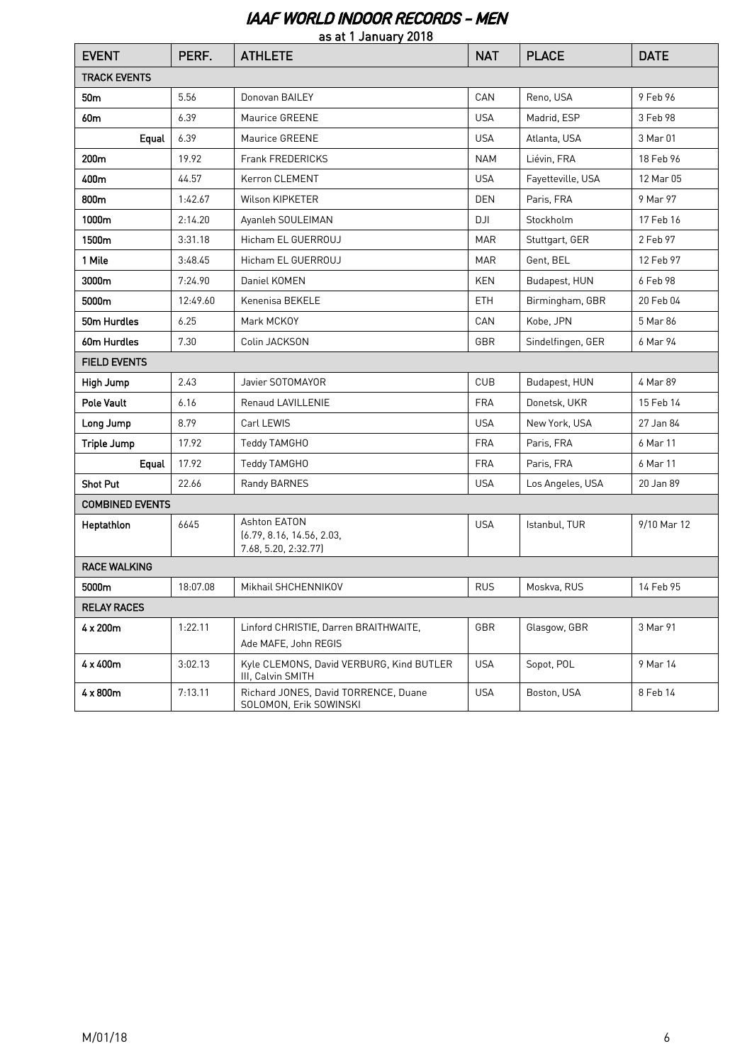# IAAF WORLD INDOOR RECORDS - MEN

| as at 1 January 2018   |          |                                                                   |            |                   |             |  |  |  |
|------------------------|----------|-------------------------------------------------------------------|------------|-------------------|-------------|--|--|--|
| <b>EVENT</b>           | PERF.    | <b>ATHLETE</b>                                                    | <b>NAT</b> | <b>PLACE</b>      | <b>DATE</b> |  |  |  |
| <b>TRACK EVENTS</b>    |          |                                                                   |            |                   |             |  |  |  |
| 50 <sub>m</sub>        | 5.56     | Donovan BAILEY                                                    | CAN        | Reno, USA         | 9 Feb 96    |  |  |  |
| 60 <sub>m</sub>        | 6.39     | Maurice GREENE                                                    | <b>USA</b> | Madrid, ESP       | 3 Feb 98    |  |  |  |
| Equal                  | 6.39     | Maurice GREENE                                                    | <b>USA</b> | Atlanta, USA      | 3 Mar 01    |  |  |  |
| 200 <sub>m</sub>       | 19.92    | <b>Frank FREDERICKS</b>                                           | <b>NAM</b> | Liévin, FRA       | 18 Feb 96   |  |  |  |
| 400m                   | 44.57    | Kerron CLEMENT                                                    | <b>USA</b> | Fayetteville, USA | 12 Mar 05   |  |  |  |
| 800m                   | 1:42.67  | Wilson KIPKETER                                                   | <b>DEN</b> | Paris, FRA        | 9 Mar 97    |  |  |  |
| 1000m                  | 2:14.20  | Ayanleh SOULEIMAN                                                 | DJI        | Stockholm         | 17 Feb 16   |  |  |  |
| 1500m                  | 3:31.18  | Hicham EL GUERROUJ                                                | <b>MAR</b> | Stuttgart, GER    | 2 Feb 97    |  |  |  |
| 1 Mile                 | 3:48.45  | Hicham EL GUERROUJ                                                | <b>MAR</b> | Gent, BEL         | 12 Feb 97   |  |  |  |
| 3000m                  | 7:24.90  | Daniel KOMEN                                                      | <b>KEN</b> | Budapest, HUN     | 6 Feb 98    |  |  |  |
| 5000m                  | 12:49.60 | Kenenisa BEKELE                                                   | <b>ETH</b> | Birmingham, GBR   | 20 Feb 04   |  |  |  |
| 50m Hurdles            | 6.25     | Mark MCKOY                                                        | CAN        | Kobe, JPN         | 5 Mar 86    |  |  |  |
| 60m Hurdles            | 7.30     | Colin JACKSON                                                     | GBR        | Sindelfingen, GER | 6 Mar 94    |  |  |  |
| <b>FIELD EVENTS</b>    |          |                                                                   |            |                   |             |  |  |  |
| High Jump              | 2.43     | Javier SOTOMAYOR                                                  | <b>CUB</b> | Budapest, HUN     | 4 Mar 89    |  |  |  |
| <b>Pole Vault</b>      | 6.16     | Renaud LAVILLENIE                                                 | <b>FRA</b> | Donetsk, UKR      | 15 Feb 14   |  |  |  |
| Long Jump              | 8.79     | Carl LEWIS                                                        | <b>USA</b> | New York, USA     | 27 Jan 84   |  |  |  |
| Triple Jump            | 17.92    | Teddy TAMGHO                                                      | <b>FRA</b> | Paris, FRA        | 6 Mar 11    |  |  |  |
| Equal                  | 17.92    | Teddy TAMGHO                                                      | <b>FRA</b> | Paris, FRA        | 6 Mar 11    |  |  |  |
| <b>Shot Put</b>        | 22.66    | Randy BARNES                                                      | <b>USA</b> | Los Angeles, USA  | 20 Jan 89   |  |  |  |
| <b>COMBINED EVENTS</b> |          |                                                                   |            |                   |             |  |  |  |
| Heptathlon             | 6645     | Ashton EATON<br>(6.79, 8.16, 14.56, 2.03,<br>7.68, 5.20, 2:32.77) | <b>USA</b> | Istanbul, TUR     | 9/10 Mar 12 |  |  |  |
| <b>RACE WALKING</b>    |          |                                                                   |            |                   |             |  |  |  |
| 5000m                  | 18:07.08 | Mikhail SHCHENNIKOV                                               | <b>RUS</b> | Moskva, RUS       | 14 Feb 95   |  |  |  |
| <b>RELAY RACES</b>     |          |                                                                   |            |                   |             |  |  |  |
| $4 \times 200$ m       | 1:22.11  | Linford CHRISTIE, Darren BRAITHWAITE,<br>Ade MAFE, John REGIS     | GBR        | Glasgow, GBR      | 3 Mar 91    |  |  |  |
| $4 \times 400m$        | 3:02.13  | Kyle CLEMONS, David VERBURG, Kind BUTLER<br>III, Calvin SMITH     | <b>USA</b> | Sopot, POL        | 9 Mar 14    |  |  |  |
| $4 \times 800$ m       | 7:13.11  | Richard JONES, David TORRENCE, Duane<br>SOLOMON, Erik SOWINSKI    | <b>USA</b> | Boston, USA       | 8 Feb 14    |  |  |  |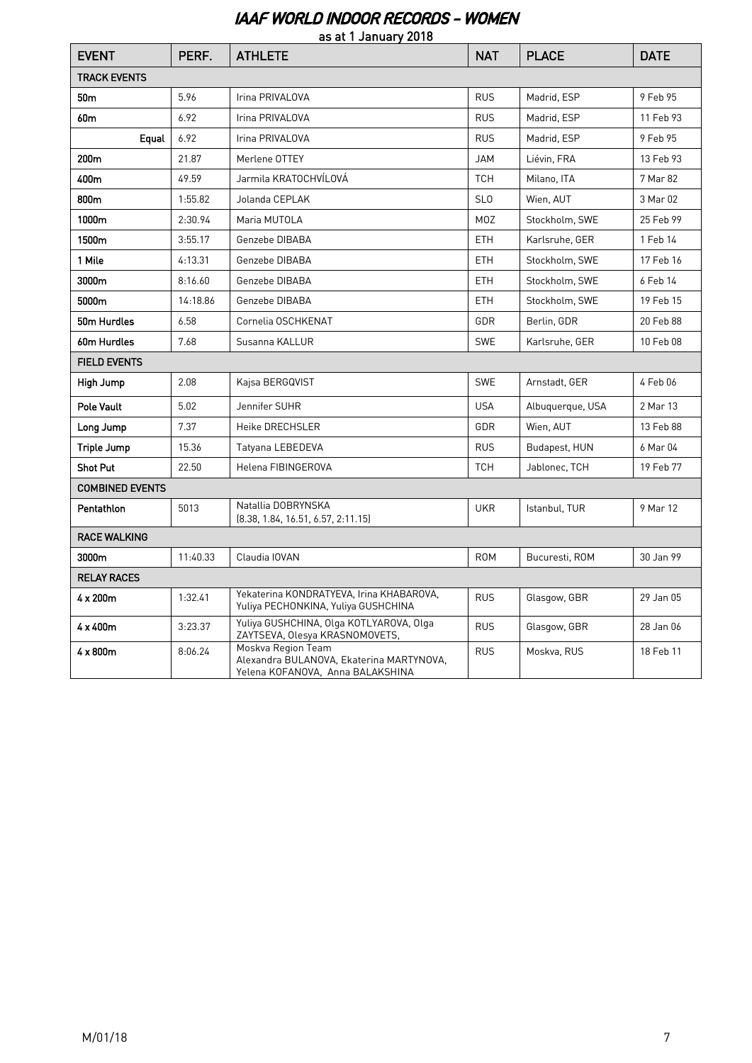## IAAF WORLD INDOOR RECORDS - WOMEN

| as at 1 January 2018   |          |                                                                                                    |                  |                  |             |  |  |  |
|------------------------|----------|----------------------------------------------------------------------------------------------------|------------------|------------------|-------------|--|--|--|
| <b>EVENT</b>           | PERF.    | <b>ATHLETE</b>                                                                                     | <b>NAT</b>       | <b>PLACE</b>     | <b>DATE</b> |  |  |  |
| <b>TRACK EVENTS</b>    |          |                                                                                                    |                  |                  |             |  |  |  |
| 50 <sub>m</sub>        | 5.96     | Irina PRIVALOVA                                                                                    | <b>RUS</b>       | Madrid, ESP      | 9 Feb 95    |  |  |  |
| 60 <sub>m</sub>        | 6.92     | Irina PRIVALOVA                                                                                    | <b>RUS</b>       | Madrid, ESP      | 11 Feb 93   |  |  |  |
| Equal                  | 6.92     | Irina PRIVALOVA                                                                                    | <b>RUS</b>       | Madrid, ESP      | 9 Feb 95    |  |  |  |
| 200m                   | 21.87    | Merlene OTTEY                                                                                      | <b>JAM</b>       | Liévin, FRA      | 13 Feb 93   |  |  |  |
| 400m                   | 49.59    | Jarmila KRATOCHVÍLOVÁ                                                                              | <b>TCH</b>       | Milano, ITA      | 7 Mar 82    |  |  |  |
| 800m                   | 1:55.82  | Jolanda CEPLAK                                                                                     | <b>SLO</b>       | Wien, AUT        | 3 Mar 02    |  |  |  |
| 1000m                  | 2:30.94  | Maria MUTOLA                                                                                       | M <sub>O</sub> Z | Stockholm, SWE   | 25 Feb 99   |  |  |  |
| 1500m                  | 3:55.17  | Genzebe DIBABA                                                                                     | <b>ETH</b>       | Karlsruhe, GER   | 1 Feb 14    |  |  |  |
| 1 Mile                 | 4:13.31  | Genzebe DIBABA                                                                                     | <b>ETH</b>       | Stockholm, SWE   | 17 Feb 16   |  |  |  |
| 3000m                  | 8:16.60  | Genzebe DIBABA                                                                                     | <b>ETH</b>       | Stockholm, SWE   | 6 Feb 14    |  |  |  |
| 5000m                  | 14:18.86 | Genzebe DIBABA                                                                                     | <b>ETH</b>       | Stockholm, SWE   | 19 Feb 15   |  |  |  |
| 50m Hurdles            | 6.58     | Cornelia OSCHKENAT                                                                                 | <b>GDR</b>       | Berlin, GDR      | 20 Feb 88   |  |  |  |
| 60m Hurdles            | 7.68     | Susanna KALLUR                                                                                     | <b>SWE</b>       | Karlsruhe, GER   | 10 Feb 08   |  |  |  |
| <b>FIELD EVENTS</b>    |          |                                                                                                    |                  |                  |             |  |  |  |
| High Jump              | 2.08     | Kajsa BERGQVIST                                                                                    | <b>SWE</b>       | Arnstadt, GER    | 4 Feb 06    |  |  |  |
| Pole Vault             | 5.02     | Jennifer SUHR                                                                                      | <b>USA</b>       | Albuquerque, USA | 2 Mar 13    |  |  |  |
| Long Jump              | 7.37     | Heike DRECHSLER                                                                                    | GDR              | Wien, AUT        | 13 Feb 88   |  |  |  |
| Triple Jump            | 15.36    | Tatyana LEBEDEVA                                                                                   | <b>RUS</b>       | Budapest, HUN    | 6 Mar 04    |  |  |  |
| <b>Shot Put</b>        | 22.50    | Helena FIBINGEROVA                                                                                 | <b>TCH</b>       | Jablonec, TCH    | 19 Feb 77   |  |  |  |
| <b>COMBINED EVENTS</b> |          |                                                                                                    |                  |                  |             |  |  |  |
| <b>Pentathlon</b>      | 5013     | Natallia DOBRYNSKA<br>[8.38, 1.84, 16.51, 6.57, 2.11.15]                                           | <b>UKR</b>       | Istanbul, TUR    | 9 Mar 12    |  |  |  |
| <b>RACE WALKING</b>    |          |                                                                                                    |                  |                  |             |  |  |  |
| 3000m                  | 11:40.33 | Claudia IOVAN                                                                                      | <b>ROM</b>       | Bucuresti, ROM   | 30 Jan 99   |  |  |  |
| <b>RELAY RACES</b>     |          |                                                                                                    |                  |                  |             |  |  |  |
| $4 \times 200$ m       | 1:32.41  | Yekaterina KONDRATYEVA, Irina KHABAROVA,<br>Yuliya PECHONKINA, Yuliya GUSHCHINA                    | <b>RUS</b>       | Glasgow, GBR     | 29 Jan 05   |  |  |  |
| 4 x 400m               | 3:23.37  | Yuliya GUSHCHINA, Olga KOTLYAROVA, Olga<br>ZAYTSEVA, Olesya KRASNOMOVETS,                          | <b>RUS</b>       | Glasgow, GBR     | 28 Jan 06   |  |  |  |
| 4 x 800m               | 8:06.24  | Moskva Region Team<br>Alexandra BULANOVA, Ekaterina MARTYNOVA,<br>Yelena KOFANOVA, Anna BALAKSHINA | <b>RUS</b>       | Moskva, RUS      | 18 Feb 11   |  |  |  |